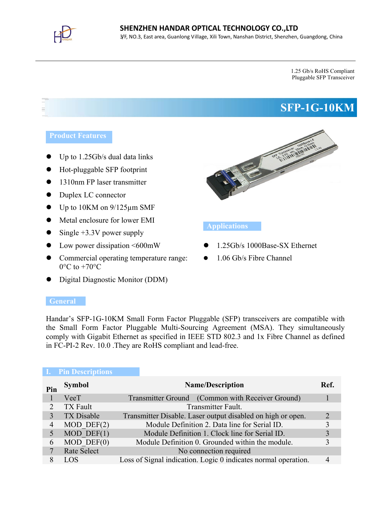

1.25 Gb/s RoHS Compliant Pluggable SFP Transceiver

# **SFP-1G-10KM**

- Up to 1.25Gb/s dual data links
- Hot-pluggable SFP footprint
- 1310nm FP laser transmitter
- Duplex LC connector
- Up to 10KM on 9/125µm SMF
- Metal enclosure for lower EMI
- Single +3.3V power supply
- Low power dissipation <600mW
- Commercial operating temperature range:  $0^{\circ}$ C to  $+70^{\circ}$ C
- Digital Diagnostic Monitor (DDM)



# **Applications**

- 1.25Gb/s 1000Base-SX Ethernet
- 1.06 Gb/s Fibre Channel

#### **General**

Handar's SFP-1G-10KM Small Form Factor Pluggable (SFP) transceivers are compatible with the Small Form Factor Pluggable Multi-Sourcing Agreement (MSA). They simultaneously comply with Gigabit Ethernet as specified in IEEE STD 802.3 and 1x Fibre Channel as defined in FC-PI-2 Rev. 10.0 .They are RoHS compliant and lead-free.

|     | <b>Pin Descriptions</b> |                                                                |                       |
|-----|-------------------------|----------------------------------------------------------------|-----------------------|
| Pin | Symbol                  | <b>Name/Description</b>                                        | Ref.                  |
|     | VeeT                    | Transmitter Ground (Common with Receiver Ground)               |                       |
|     | TX Fault                | Transmitter Fault.                                             |                       |
|     | TX Disable              | Transmitter Disable. Laser output disabled on high or open.    | $\mathcal{D}_{\cdot}$ |
| 4   | $MOD$ DEF $(2)$         | Module Definition 2. Data line for Serial ID.                  | 3                     |
|     | $MOD$ DEF $(1)$         | Module Definition 1. Clock line for Serial ID.                 |                       |
| 6   | $MOD$ DEF $(0)$         | Module Definition 0. Grounded within the module.               | 3                     |
|     | <b>Rate Select</b>      | No connection required                                         |                       |
|     | LOS                     | Loss of Signal indication. Logic 0 indicates normal operation. | 4                     |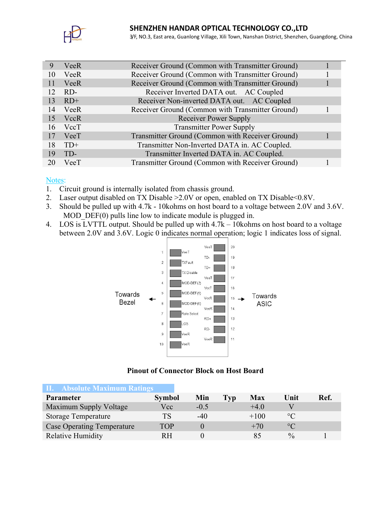

3/F, NO.3, East area, Guanlong Village, Xili Town, Nanshan District, Shenzhen, Guangdong, China

|     | VeeR        | Receiver Ground (Common with Transmitter Ground) |  |
|-----|-------------|--------------------------------------------------|--|
| 10  | VeeR        | Receiver Ground (Common with Transmitter Ground) |  |
| 11  | VeeR        | Receiver Ground (Common with Transmitter Ground) |  |
| 12. | RD-         | Receiver Inverted DATA out. AC Coupled           |  |
| 13  | $RD+$       | Receiver Non-inverted DATA out. AC Coupled       |  |
| 14  | VeeR        | Receiver Ground (Common with Transmitter Ground) |  |
| 15  | <b>VccR</b> | Receiver Power Supply                            |  |
| 16  | VccT        | <b>Transmitter Power Supply</b>                  |  |
| 17  | VeeT        | Transmitter Ground (Common with Receiver Ground) |  |
| 18  | $TD+$       | Transmitter Non-Inverted DATA in. AC Coupled.    |  |
| 19  | TD-         | Transmitter Inverted DATA in. AC Coupled.        |  |
|     | VeeT        | Transmitter Ground (Common with Receiver Ground) |  |

#### Notes:

- 1. Circuit ground is internally isolated from chassis ground.
- 2. Laser output disabled on TX Disable >2.0V or open, enabled on TX Disable<0.8V.
- 3. Should be pulled up with 4.7k 10kohms on host board to a voltage between 2.0V and 3.6V. MOD DEF(0) pulls line low to indicate module is plugged in.
- 4. LOS is LVTTL output. Should be pulled up with 4.7k 10kohms on host board to a voltage between 2.0V and 3.6V. Logic 0 indicates normal operation; logic 1 indicates loss of signal.



# **Pinout of Connector Block on Host Board**

| <b>II.</b> Absolute Maximum Ratings |               |        |     |            |                 |      |
|-------------------------------------|---------------|--------|-----|------------|-----------------|------|
| <b>Parameter</b>                    | <b>Symbol</b> | Min    | Typ | <b>Max</b> | Unit            | Ref. |
| Maximum Supply Voltage              | Vcc           | $-0.5$ |     | $+4.0$     |                 |      |
| <b>Storage Temperature</b>          | <b>TS</b>     | $-40$  |     | $+100$     | $\circ$ C       |      |
| <b>Case Operating Temperature</b>   | TOP           |        |     | $+70$      | $\rm ^{\circ}C$ |      |
| <b>Relative Humidity</b>            | R H           |        |     |            | $\frac{0}{0}$   |      |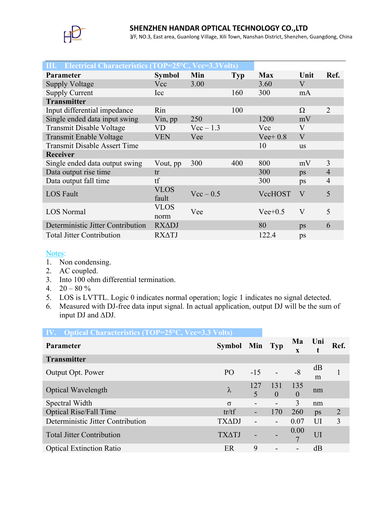

3/F, NO.3, East area, Guanlong Village, Xili Town, Nanshan District, Shenzhen, Guangdong, China

| III. Electrical Characteristics (TOP=25°C, Vcc=3.3Volts) |                      |             |            |            |              |                |
|----------------------------------------------------------|----------------------|-------------|------------|------------|--------------|----------------|
| Parameter                                                | <b>Symbol</b>        | Min         | <b>Typ</b> | <b>Max</b> | Unit         | Ref.           |
| <b>Supply Voltage</b>                                    | Vcc                  | 3.00        |            | 3.60       | V            |                |
| <b>Supply Current</b>                                    | Icc                  |             | 160        | 300        | mA           |                |
| <b>Transmitter</b>                                       |                      |             |            |            |              |                |
| Input differential impedance                             | Rin                  |             | 100        |            | Ω            | 2              |
| Single ended data input swing                            | Vin, pp              | 250         |            | 1200       | mV           |                |
| Transmit Disable Voltage                                 | VD                   | $Vec-1.3$   |            | Vcc        | V            |                |
| Transmit Enable Voltage                                  | <b>VEN</b>           | Vee         |            | Vee $+0.8$ | $\mathbf{V}$ |                |
| <b>Transmit Disable Assert Time</b>                      |                      |             |            | 10         | <b>us</b>    |                |
| <b>Receiver</b>                                          |                      |             |            |            |              |                |
| Single ended data output swing                           | Vout, pp             | 300         | 400        | 800        | mV           | 3              |
| Data output rise time                                    | tr                   |             |            | 300        | ps           | $\overline{4}$ |
| Data output fall time                                    | tf                   |             |            | 300        | ps           | $\overline{4}$ |
| <b>LOS</b> Fault                                         | <b>VLOS</b><br>fault | $Vec - 0.5$ |            | VccHOST    | V            | 5              |
| <b>LOS</b> Normal                                        | <b>VLOS</b><br>norm  | Vee         |            | $Vee+0.5$  | $\rm V$      | 5              |
| Deterministic Jitter Contribution                        | <b>RXADJ</b>         |             |            | 80         | ps           | 6              |
| <b>Total Jitter Contribution</b>                         | <b>RXATJ</b>         |             |            | 122.4      | ps           |                |

#### Notes:

- 1. Non condensing.
- 2. AC coupled.
- 3. Into 100 ohm differential termination.
- 4.  $20 80 \%$
- 5. LOS is LVTTL. Logic 0 indicates normal operation; logic 1 indicates no signal detected.
- 6. Measured with DJ-free data input signal. In actual application, output DJ will be the sum of input DJ and ΔDJ.

| IV. Optical Characteristics (TOP=25°C, Vcc=3.3 Volts) |                |                                 |                          |                      |            |                |
|-------------------------------------------------------|----------------|---------------------------------|--------------------------|----------------------|------------|----------------|
| <b>Parameter</b>                                      | Symbol Min Typ |                                 |                          | Ma<br>$\mathbf{x}$   | Uni        | Ref.           |
| <b>Transmitter</b>                                    |                |                                 |                          |                      |            |                |
| Output Opt. Power                                     | P <sub>O</sub> | $-15$                           |                          | $-8$                 | dB<br>m    |                |
| <b>Optical Wavelength</b>                             | $\lambda$      | 127<br>$\overline{\mathcal{L}}$ | 131<br>$\Omega$          | 135<br>$\theta$      | nm         |                |
| Spectral Width                                        | $\sigma$       |                                 | $\overline{\phantom{a}}$ | 3                    | nm         |                |
| <b>Optical Rise/Fall Time</b>                         | tr/tf          |                                 | 170                      | 260                  | $\n  DS\n$ | $\overline{2}$ |
| Deterministic Jitter Contribution                     | <b>TXADJ</b>   |                                 | $\overline{\phantom{0}}$ | 0.07                 | UI         | $\overline{3}$ |
| <b>Total Jitter Contribution</b>                      | <b>TXATJ</b>   |                                 |                          | 0.00<br>$\mathbf{r}$ | UI         |                |
| <b>Optical Extinction Ratio</b>                       | ER             | 9                               |                          |                      | dВ         |                |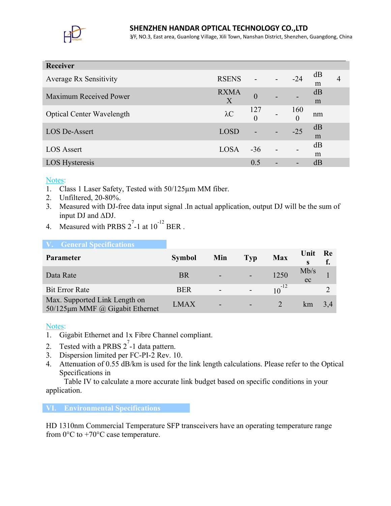

# **SHENZHEN HANDAR OPTICAL TECHNOLOGY CO.,LTD**

3/F, NO.3, East area, Guanlong Village, Xili Town, Nanshan District, Shenzhen, Guangdong, China

| Receiver                         |              |                 |                          |                       |         |   |
|----------------------------------|--------------|-----------------|--------------------------|-----------------------|---------|---|
| <b>Average Rx Sensitivity</b>    | <b>RSENS</b> |                 | $\overline{\phantom{a}}$ | $-24$                 | dB      | 4 |
| Maximum Received Power           | <b>RXMA</b>  | $\overline{0}$  |                          |                       | m<br>dB |   |
|                                  | Χ            |                 |                          |                       | m       |   |
| <b>Optical Center Wavelength</b> | $\lambda C$  | 127<br>$\theta$ |                          | 160<br>$\overline{0}$ | nm      |   |
| <b>LOS De-Assert</b>             | <b>LOSD</b>  |                 |                          | $-25$                 | dB      |   |
|                                  |              |                 |                          |                       | m       |   |
| <b>LOS Assert</b>                | <b>LOSA</b>  | $-36$           | $\blacksquare$           |                       | dB      |   |
|                                  |              |                 |                          |                       | m       |   |
| LOS Hysteresis                   |              | 0.5             |                          |                       | dВ      |   |

Notes:

- 1. Class 1 Laser Safety, Tested with 50/125µm MM fiber.
- 2. Unfiltered, 20-80%.
- 3. Measured with DJ-free data input signal .In actual application, output DJ will be the sum of input DJ and ΔDJ.
- 4. Measured with PRBS  $2^7$ -1 at  $10^{-12}$  BER.

| <b>V.</b> General Specifications                                       |               |                          |                          |            |                      |    |
|------------------------------------------------------------------------|---------------|--------------------------|--------------------------|------------|----------------------|----|
| <b>Parameter</b>                                                       | <b>Symbol</b> | Min                      | <b>Typ</b>               | <b>Max</b> | Unit<br>$\mathbf{s}$ | Re |
| Data Rate                                                              | <b>BR</b>     | -                        |                          | 1250       | Mb/s<br>ec           |    |
| <b>Bit Error Rate</b>                                                  | <b>BER</b>    | $\overline{\phantom{a}}$ | $\overline{\phantom{a}}$ | $10^{-12}$ |                      |    |
| Max. Supported Link Length on<br>50/125 $\mu$ m MMF @ Gigabit Ethernet | <b>LMAX</b>   | $\overline{\phantom{a}}$ |                          |            | km                   |    |

# Notes:

- 1. Gigabit Ethernet and 1x Fibre Channel compliant.
- 2. Tested with a PRBS  $2^7$ -1 data pattern.
- 3. Dispersion limited per FC-PI-2 Rev. 10.
- 4. Attenuation of 0.55 dB/km is used for the link length calculations. Please refer to the Optical Specifications in

Table IV to calculate a more accurate link budget based on specific conditions in your application.

#### **VI. Environmental Specifications**

HD 1310nm Commercial Temperature SFP transceivers have an operating temperature range from  $0^{\circ}$ C to +70 $^{\circ}$ C case temperature.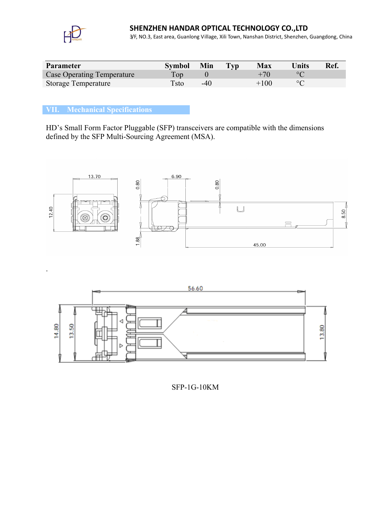

.

3/F, NO.3, East area, Guanlong Village, Xili Town, Nanshan District, Shenzhen, Guangdong, China

| Parameter                         | <b>Symbol</b> | Min    | Typ | <b>Max</b> | Units       | Ref. |
|-----------------------------------|---------------|--------|-----|------------|-------------|------|
| <b>Case Operating Temperature</b> | Top           |        |     |            |             |      |
| Storage Temperature               | Tsto          | $-4()$ |     | $+100$     | $^{\circ}C$ |      |

### **VII. Mechanical Specifications**

HD's Small Form Factor Pluggable (SFP) transceivers are compatible with the dimensions defined by the SFP Multi-Sourcing Agreement (MSA).





SFP-1G-10KM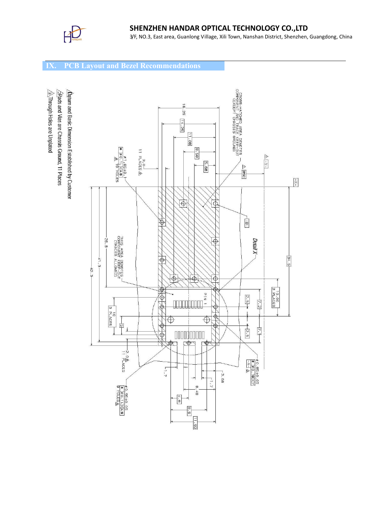

# **SHENZHEN HANDAR OPTICAL TECHNOLOGY CO.,LTD**

3/F, NO.3, East area, Guanlong Village, Xili Town, Nanshan District, Shenzhen, Guangdong, China

# **IX. PCB Layout and Bezel Recommendations**

 $\hat{\triangle}$ Through Holes are Unplated Plads and Vias are Chassis Ground, 11 Places Datum and Basic Dimension Established by Customer